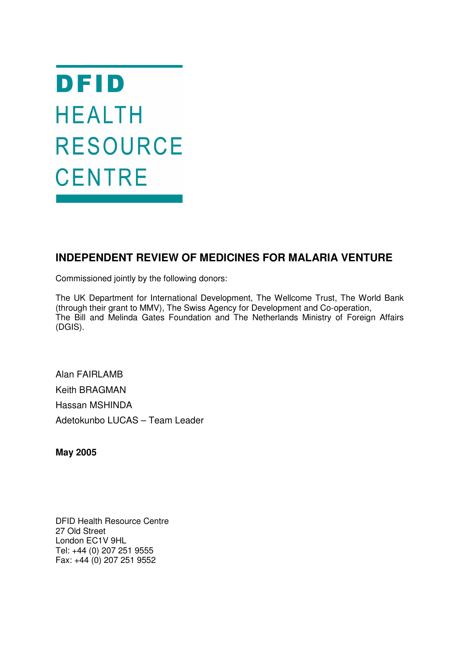DFID **HEALTH RESOURCE CENTRE** 

# **INDEPENDENT REVIEW OF MEDICINES FOR MALARIA VENTURE**

Commissioned jointly by the following donors:

The UK Department for International Development, The Wellcome Trust, The World Bank (through their grant to MMV), The Swiss Agency for Development and Co-operation, The Bill and Melinda Gates Foundation and The Netherlands Ministry of Foreign Affairs (DGIS).

Alan FAIRLAMB Keith BRAGMAN Hassan MSHINDA Adetokunbo LUCAS – Team Leader

**May 2005**

DFID Health Resource Centre 27 Old Street London EC1V 9HL Tel: +44 (0) 207 251 9555 Fax: +44 (0) 207 251 9552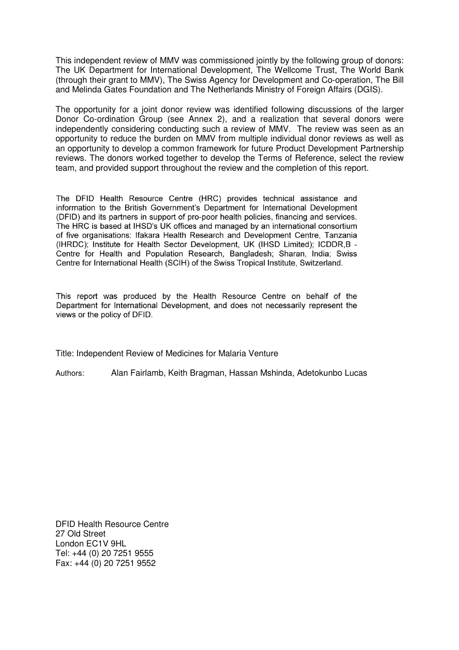This independent review of MMV was commissioned jointly by the following group of donors: The UK Department for International Development, The Wellcome Trust, The World Bank (through their grant to MMV), The Swiss Agency for Development and Co-operation, The Bill and Melinda Gates Foundation and The Netherlands Ministry of Foreign Affairs (DGIS).

The opportunity for a joint donor review was identified following discussions of the larger Donor Co-ordination Group (see Annex 2), and a realization that several donors were independently considering conducting such a review of MMV. The review was seen as an opportunity to reduce the burden on MMV from multiple individual donor reviews as well as an opportunity to develop a common framework for future Product Development Partnership reviews. The donors worked together to develop the Terms of Reference, select the review team, and provided support throughout the review and the completion of this report.

The DFID Health Resource Centre (HRC) provides technical assistance and information to the British Government's Department for International Development (DFID) and its partners in support of pro-poor health policies, financing and services. The HRC is based at IHSD's UK offices and managed by an international consortium of five organisations: Ifakara Health Research and Development Centre, Tanzania (IHRDC); Institute for Health Sector Development, UK (IHSD Limited); ICDDR, B -Centre for Health and Population Research, Bangladesh; Sharan, India; Swiss Centre for International Health (SCIH) of the Swiss Tropical Institute, Switzerland.

This report was produced by the Health Resource Centre on behalf of the Department for International Development, and does not necessarily represent the views or the policy of DFID.

Title: Independent Review of Medicines for Malaria Venture

Authors: Alan Fairlamb, Keith Bragman, Hassan Mshinda, Adetokunbo Lucas

DFID Health Resource Centre 27 Old Street London EC1V 9HL Tel: +44 (0) 20 7251 9555 Fax: +44 (0) 20 7251 9552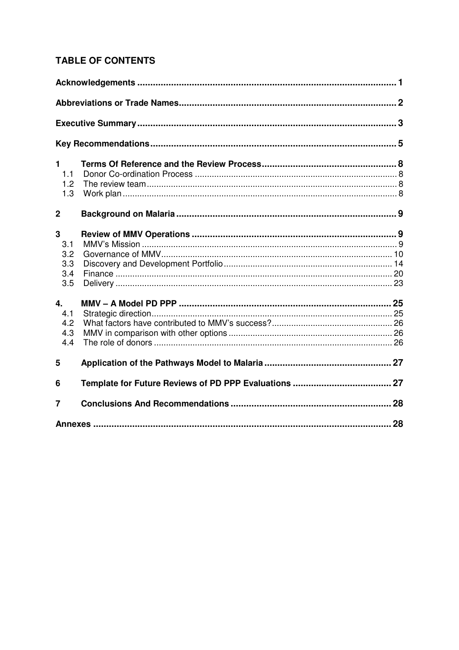# **TABLE OF CONTENTS**

| 1              |  |
|----------------|--|
| 1.1            |  |
| 1.2            |  |
| 1.3            |  |
| $\overline{2}$ |  |
| 3              |  |
| 3.1            |  |
| 3.2            |  |
| 3.3            |  |
| 3.4            |  |
| 3.5            |  |
| 4.             |  |
| 4.1            |  |
| 4.2            |  |
| 4.3            |  |
| 4.4            |  |
| 5              |  |
| 6              |  |
| 7              |  |
|                |  |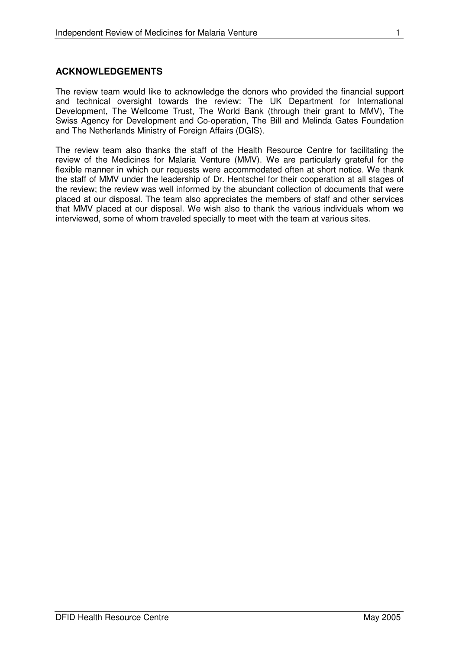## **ACKNOWLEDGEMENTS**

The review team would like to acknowledge the donors who provided the financial support and technical oversight towards the review: The UK Department for International Development, The Wellcome Trust, The World Bank (through their grant to MMV), The Swiss Agency for Development and Co-operation, The Bill and Melinda Gates Foundation and The Netherlands Ministry of Foreign Affairs (DGIS).

The review team also thanks the staff of the Health Resource Centre for facilitating the review of the Medicines for Malaria Venture (MMV). We are particularly grateful for the flexible manner in which our requests were accommodated often at short notice. We thank the staff of MMV under the leadership of Dr. Hentschel for their cooperation at all stages of the review; the review was well informed by the abundant collection of documents that were placed at our disposal. The team also appreciates the members of staff and other services that MMV placed at our disposal. We wish also to thank the various individuals whom we interviewed, some of whom traveled specially to meet with the team at various sites.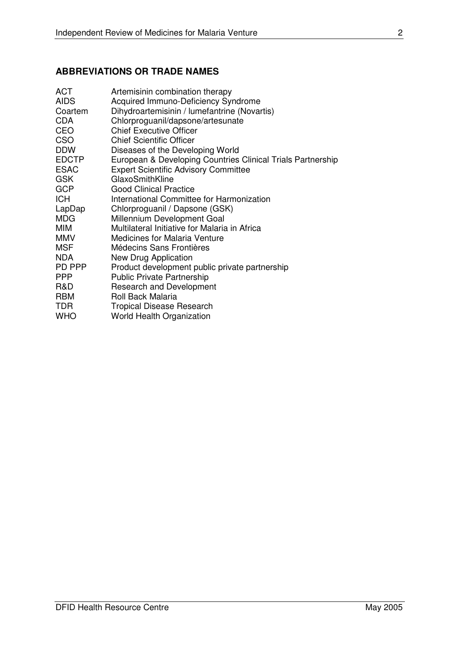# **ABBREVIATIONS OR TRADE NAMES**

| <b>ACT</b><br><b>AIDS</b> | Artemisinin combination therapy<br>Acquired Immuno-Deficiency Syndrome |
|---------------------------|------------------------------------------------------------------------|
| Coartem                   | Dihydroartemisinin / lumefantrine (Novartis)                           |
| <b>CDA</b>                | Chlorproguanil/dapsone/artesunate                                      |
| <b>CEO</b>                | <b>Chief Executive Officer</b>                                         |
| <b>CSO</b>                | <b>Chief Scientific Officer</b>                                        |
| <b>DDW</b>                | Diseases of the Developing World                                       |
| <b>EDCTP</b>              | European & Developing Countries Clinical Trials Partnership            |
| <b>ESAC</b>               | <b>Expert Scientific Advisory Committee</b>                            |
| <b>GSK</b>                | GlaxoSmithKline                                                        |
| <b>GCP</b>                | <b>Good Clinical Practice</b>                                          |
| <b>ICH</b>                | International Committee for Harmonization                              |
| LapDap                    | Chlorproguanil / Dapsone (GSK)                                         |
| <b>MDG</b>                | Millennium Development Goal                                            |
| <b>MIM</b>                | Multilateral Initiative for Malaria in Africa                          |
| <b>MMV</b>                | <b>Medicines for Malaria Venture</b>                                   |
| <b>MSF</b>                | Médecins Sans Frontières                                               |
| <b>NDA</b>                | New Drug Application                                                   |
| PD PPP                    | Product development public private partnership                         |
| <b>PPP</b>                | <b>Public Private Partnership</b>                                      |
| R&D                       | <b>Research and Development</b>                                        |
| <b>RBM</b>                | <b>Roll Back Malaria</b>                                               |
| <b>TDR</b>                | <b>Tropical Disease Research</b>                                       |
| <b>WHO</b>                | <b>World Health Organization</b>                                       |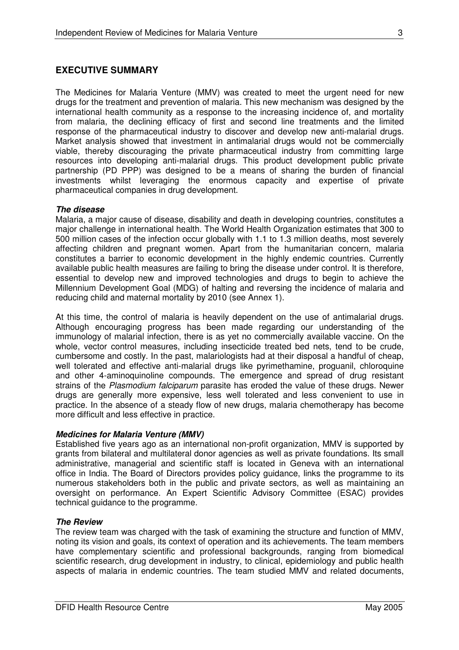## **EXECUTIVE SUMMARY**

The Medicines for Malaria Venture (MMV) was created to meet the urgent need for new drugs for the treatment and prevention of malaria. This new mechanism was designed by the international health community as a response to the increasing incidence of, and mortality from malaria, the declining efficacy of first and second line treatments and the limited response of the pharmaceutical industry to discover and develop new anti-malarial drugs. Market analysis showed that investment in antimalarial drugs would not be commercially viable, thereby discouraging the private pharmaceutical industry from committing large resources into developing anti-malarial drugs. This product development public private partnership (PD PPP) was designed to be a means of sharing the burden of financial investments whilst leveraging the enormous capacity and expertise of private pharmaceutical companies in drug development.

## *The disease*

Malaria, a major cause of disease, disability and death in developing countries, constitutes a major challenge in international health. The World Health Organization estimates that 300 to 500 million cases of the infection occur globally with 1.1 to 1.3 million deaths, most severely affecting children and pregnant women. Apart from the humanitarian concern, malaria constitutes a barrier to economic development in the highly endemic countries. Currently available public health measures are failing to bring the disease under control. It is therefore, essential to develop new and improved technologies and drugs to begin to achieve the Millennium Development Goal (MDG) of halting and reversing the incidence of malaria and reducing child and maternal mortality by 2010 (see Annex 1).

At this time, the control of malaria is heavily dependent on the use of antimalarial drugs. Although encouraging progress has been made regarding our understanding of the immunology of malarial infection, there is as yet no commercially available vaccine. On the whole, vector control measures, including insecticide treated bed nets, tend to be crude, cumbersome and costly. In the past, malariologists had at their disposal a handful of cheap, well tolerated and effective anti-malarial drugs like pyrimethamine, proguanil, chloroquine and other 4-aminoquinoline compounds. The emergence and spread of drug resistant strains of the *Plasmodium falciparum* parasite has eroded the value of these drugs. Newer drugs are generally more expensive, less well tolerated and less convenient to use in practice. In the absence of a steady flow of new drugs, malaria chemotherapy has become more difficult and less effective in practice.

## *Medicines for Malaria Venture (MMV)*

Established five years ago as an international non-profit organization, MMV is supported by grants from bilateral and multilateral donor agencies as well as private foundations. Its small administrative, managerial and scientific staff is located in Geneva with an international office in India. The Board of Directors provides policy guidance, links the programme to its numerous stakeholders both in the public and private sectors, as well as maintaining an oversight on performance. An Expert Scientific Advisory Committee (ESAC) provides technical guidance to the programme.

## *The Review*

The review team was charged with the task of examining the structure and function of MMV, noting its vision and goals, its context of operation and its achievements. The team members have complementary scientific and professional backgrounds, ranging from biomedical scientific research, drug development in industry, to clinical, epidemiology and public health aspects of malaria in endemic countries. The team studied MMV and related documents,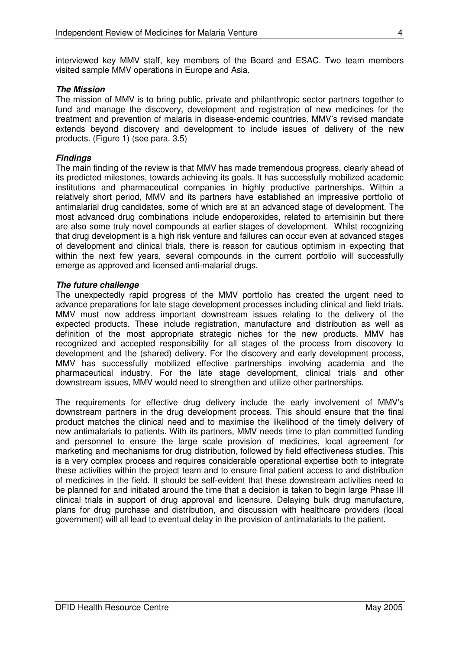interviewed key MMV staff, key members of the Board and ESAC. Two team members visited sample MMV operations in Europe and Asia.

### *The Mission*

The mission of MMV is to bring public, private and philanthropic sector partners together to fund and manage the discovery, development and registration of new medicines for the treatment and prevention of malaria in disease-endemic countries. MMV's revised mandate extends beyond discovery and development to include issues of delivery of the new products. (Figure 1) (see para. 3.5)

### *Findings*

The main finding of the review is that MMV has made tremendous progress, clearly ahead of its predicted milestones, towards achieving its goals. It has successfully mobilized academic institutions and pharmaceutical companies in highly productive partnerships. Within a relatively short period, MMV and its partners have established an impressive portfolio of antimalarial drug candidates, some of which are at an advanced stage of development. The most advanced drug combinations include endoperoxides, related to artemisinin but there are also some truly novel compounds at earlier stages of development. Whilst recognizing that drug development is a high risk venture and failures can occur even at advanced stages of development and clinical trials, there is reason for cautious optimism in expecting that within the next few years, several compounds in the current portfolio will successfully emerge as approved and licensed anti-malarial drugs.

### *The future challenge*

The unexpectedly rapid progress of the MMV portfolio has created the urgent need to advance preparations for late stage development processes including clinical and field trials. MMV must now address important downstream issues relating to the delivery of the expected products. These include registration, manufacture and distribution as well as definition of the most appropriate strategic niches for the new products. MMV has recognized and accepted responsibility for all stages of the process from discovery to development and the (shared) delivery. For the discovery and early development process, MMV has successfully mobilized effective partnerships involving academia and the pharmaceutical industry. For the late stage development, clinical trials and other downstream issues, MMV would need to strengthen and utilize other partnerships.

The requirements for effective drug delivery include the early involvement of MMV's downstream partners in the drug development process. This should ensure that the final product matches the clinical need and to maximise the likelihood of the timely delivery of new antimalarials to patients. With its partners, MMV needs time to plan committed funding and personnel to ensure the large scale provision of medicines, local agreement for marketing and mechanisms for drug distribution, followed by field effectiveness studies. This is a very complex process and requires considerable operational expertise both to integrate these activities within the project team and to ensure final patient access to and distribution of medicines in the field. It should be self-evident that these downstream activities need to be planned for and initiated around the time that a decision is taken to begin large Phase III clinical trials in support of drug approval and licensure. Delaying bulk drug manufacture, plans for drug purchase and distribution, and discussion with healthcare providers (local government) will all lead to eventual delay in the provision of antimalarials to the patient.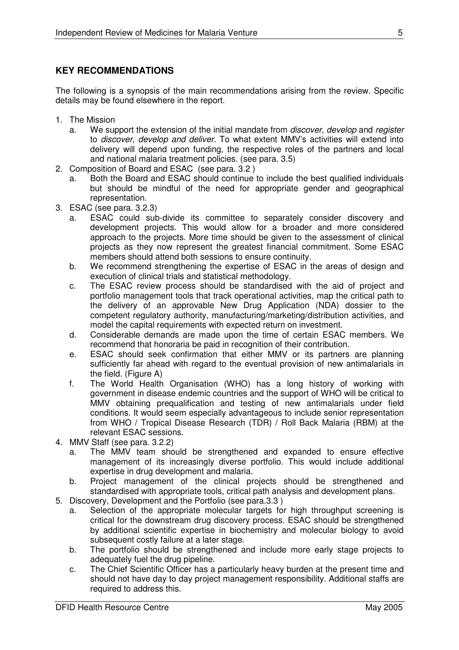# **KEY RECOMMENDATIONS**

The following is a synopsis of the main recommendations arising from the review. Specific details may be found elsewhere in the report.

- 1. The Mission
	- a. We support the extension of the initial mandate from *discover, develop* and *register* to *discover, develop and deliver.* To what extent MMV's activities will extend into delivery will depend upon funding, the respective roles of the partners and local and national malaria treatment policies. (see para. 3.5)
- 2. Composition of Board and ESAC (see para. 3.2 )
	- a. Both the Board and ESAC should continue to include the best qualified individuals but should be mindful of the need for appropriate gender and geographical representation.
- 3. ESAC (see para. 3.2.3)
	- a. ESAC could sub-divide its committee to separately consider discovery and development projects. This would allow for a broader and more considered approach to the projects. More time should be given to the assessment of clinical projects as they now represent the greatest financial commitment. Some ESAC members should attend both sessions to ensure continuity.
	- b. We recommend strengthening the expertise of ESAC in the areas of design and execution of clinical trials and statistical methodology.
	- c. The ESAC review process should be standardised with the aid of project and portfolio management tools that track operational activities, map the critical path to the delivery of an approvable New Drug Application (NDA) dossier to the competent regulatory authority, manufacturing/marketing/distribution activities, and model the capital requirements with expected return on investment.
	- d. Considerable demands are made upon the time of certain ESAC members. We recommend that honoraria be paid in recognition of their contribution.
	- e. ESAC should seek confirmation that either MMV or its partners are planning sufficiently far ahead with regard to the eventual provision of new antimalarials in the field. (Figure A)
	- f. The World Health Organisation (WHO) has a long history of working with government in disease endemic countries and the support of WHO will be critical to MMV obtaining prequalification and testing of new antimalarials under field conditions. It would seem especially advantageous to include senior representation from WHO / Tropical Disease Research (TDR) / Roll Back Malaria (RBM) at the relevant ESAC sessions.
- 4. MMV Staff (see para. 3.2.2)
	- a. The MMV team should be strengthened and expanded to ensure effective management of its increasingly diverse portfolio. This would include additional expertise in drug development and malaria.
	- b. Project management of the clinical projects should be strengthened and standardised with appropriate tools, critical path analysis and development plans.
- 5. Discovery, Development and the Portfolio (see para.3.3 )
	- a. Selection of the appropriate molecular targets for high throughput screening is critical for the downstream drug discovery process. ESAC should be strengthened by additional scientific expertise in biochemistry and molecular biology to avoid subsequent costly failure at a later stage.
	- b. The portfolio should be strengthened and include more early stage projects to adequately fuel the drug pipeline.
	- c. The Chief Scientific Officer has a particularly heavy burden at the present time and should not have day to day project management responsibility. Additional staffs are required to address this.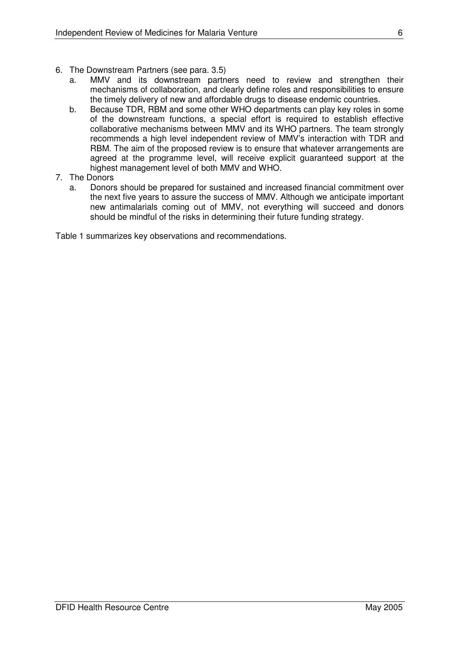- 6. The Downstream Partners (see para. 3.5)
	- a. MMV and its downstream partners need to review and strengthen their mechanisms of collaboration, and clearly define roles and responsibilities to ensure the timely delivery of new and affordable drugs to disease endemic countries.
	- b. Because TDR, RBM and some other WHO departments can play key roles in some of the downstream functions, a special effort is required to establish effective collaborative mechanisms between MMV and its WHO partners. The team strongly recommends a high level independent review of MMV's interaction with TDR and RBM. The aim of the proposed review is to ensure that whatever arrangements are agreed at the programme level, will receive explicit guaranteed support at the highest management level of both MMV and WHO.

## 7. The Donors

a. Donors should be prepared for sustained and increased financial commitment over the next five years to assure the success of MMV. Although we anticipate important new antimalarials coming out of MMV, not everything will succeed and donors should be mindful of the risks in determining their future funding strategy.

Table 1 summarizes key observations and recommendations.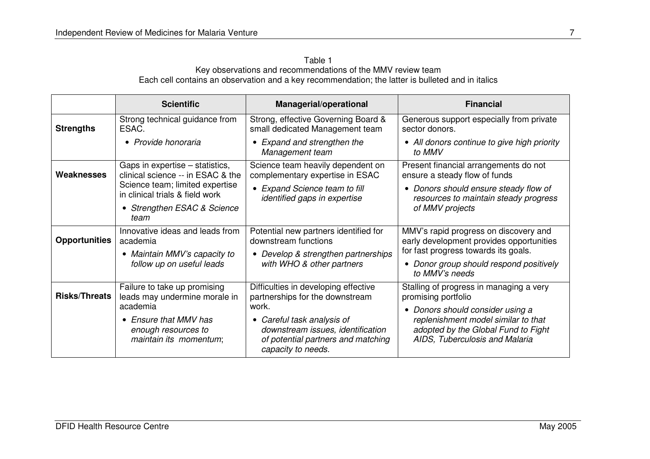| Table 1                                                                                           |  |
|---------------------------------------------------------------------------------------------------|--|
| Key observations and recommendations of the MMV review team                                       |  |
| Each cell contains an observation and a key recommendation; the latter is bulleted and in italics |  |

|                      | <b>Scientific</b>                                                      | <b>Managerial/operational</b>                                                                                                          | <b>Financial</b>                                                                                                          |  |  |  |  |
|----------------------|------------------------------------------------------------------------|----------------------------------------------------------------------------------------------------------------------------------------|---------------------------------------------------------------------------------------------------------------------------|--|--|--|--|
| <b>Strengths</b>     | Strong technical guidance from<br>ESAC.                                | Strong, effective Governing Board &<br>small dedicated Management team                                                                 | Generous support especially from private<br>sector donors.                                                                |  |  |  |  |
|                      | • Provide honoraria                                                    | • Expand and strengthen the<br>Management team                                                                                         | • All donors continue to give high priority<br>to MMV                                                                     |  |  |  |  |
| Weaknesses           | Gaps in expertise – statistics,<br>clinical science -- in ESAC & the   | Science team heavily dependent on<br>complementary expertise in ESAC                                                                   | Present financial arrangements do not<br>ensure a steady flow of funds                                                    |  |  |  |  |
|                      | Science team; limited expertise<br>in clinical trials & field work     | • Expand Science team to fill<br>identified gaps in expertise                                                                          | • Donors should ensure steady flow of<br>resources to maintain steady progress                                            |  |  |  |  |
|                      | • Strengthen ESAC & Science<br>team                                    |                                                                                                                                        | of MMV projects                                                                                                           |  |  |  |  |
| <b>Opportunities</b> | Innovative ideas and leads from<br>academia                            | Potential new partners identified for<br>downstream functions                                                                          | MMV's rapid progress on discovery and<br>early development provides opportunities<br>for fast progress towards its goals. |  |  |  |  |
|                      | • Maintain MMV's capacity to                                           | • Develop & strengthen partnerships                                                                                                    |                                                                                                                           |  |  |  |  |
|                      | follow up on useful leads                                              | with WHO & other partners                                                                                                              | Donor group should respond positively<br>$\bullet$<br>to MMV's needs                                                      |  |  |  |  |
| <b>Risks/Threats</b> | Failure to take up promising<br>leads may undermine morale in          | Difficulties in developing effective<br>partnerships for the downstream                                                                | Stalling of progress in managing a very<br>promising portfolio                                                            |  |  |  |  |
|                      | academia                                                               | work.                                                                                                                                  | • Donors should consider using a                                                                                          |  |  |  |  |
|                      | • Ensure that MMV has<br>enough resources to<br>maintain its momentum; | Careful task analysis of<br>$\bullet$<br>downstream issues, identification<br>of potential partners and matching<br>capacity to needs. | replenishment model similar to that<br>adopted by the Global Fund to Fight<br>AIDS, Tuberculosis and Malaria              |  |  |  |  |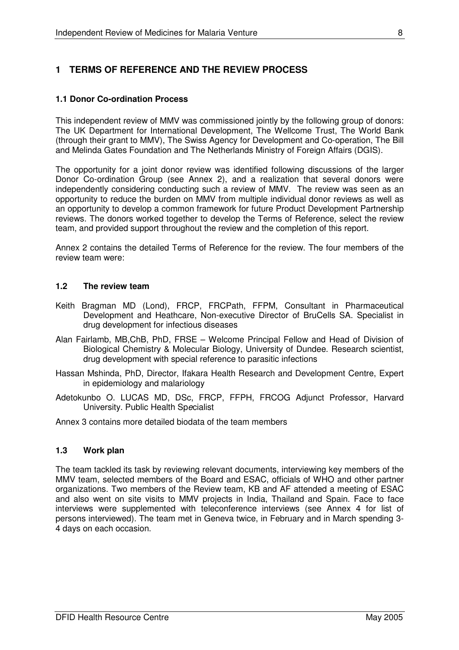# **1 TERMS OF REFERENCE AND THE REVIEW PROCESS**

## **1.1 Donor Co-ordination Process**

This independent review of MMV was commissioned jointly by the following group of donors: The UK Department for International Development, The Wellcome Trust, The World Bank (through their grant to MMV), The Swiss Agency for Development and Co-operation, The Bill and Melinda Gates Foundation and The Netherlands Ministry of Foreign Affairs (DGIS).

The opportunity for a joint donor review was identified following discussions of the larger Donor Co-ordination Group (see Annex 2), and a realization that several donors were independently considering conducting such a review of MMV. The review was seen as an opportunity to reduce the burden on MMV from multiple individual donor reviews as well as an opportunity to develop a common framework for future Product Development Partnership reviews. The donors worked together to develop the Terms of Reference, select the review team, and provided support throughout the review and the completion of this report.

Annex 2 contains the detailed Terms of Reference for the review. The four members of the review team were:

## **1.2 The review team**

- Keith Bragman MD (Lond), FRCP, FRCPath, FFPM, Consultant in Pharmaceutical Development and Heathcare, Non-executive Director of BruCells SA. Specialist in drug development for infectious diseases
- Alan Fairlamb, MB,ChB, PhD, FRSE Welcome Principal Fellow and Head of Division of Biological Chemistry & Molecular Biology, University of Dundee. Research scientist, drug development with special reference to parasitic infections
- Hassan Mshinda, PhD, Director, Ifakara Health Research and Development Centre, Expert in epidemiology and malariology
- Adetokunbo O. LUCAS MD, DSc, FRCP, FFPH, FRCOG Adjunct Professor, Harvard University. Public Health Sp*e*cialist

Annex 3 contains more detailed biodata of the team members

## **1.3 Work plan**

The team tackled its task by reviewing relevant documents, interviewing key members of the MMV team, selected members of the Board and ESAC, officials of WHO and other partner organizations. Two members of the Review team, KB and AF attended a meeting of ESAC and also went on site visits to MMV projects in India, Thailand and Spain. Face to face interviews were supplemented with teleconference interviews (see Annex 4 for list of persons interviewed). The team met in Geneva twice, in February and in March spending 3- 4 days on each occasion.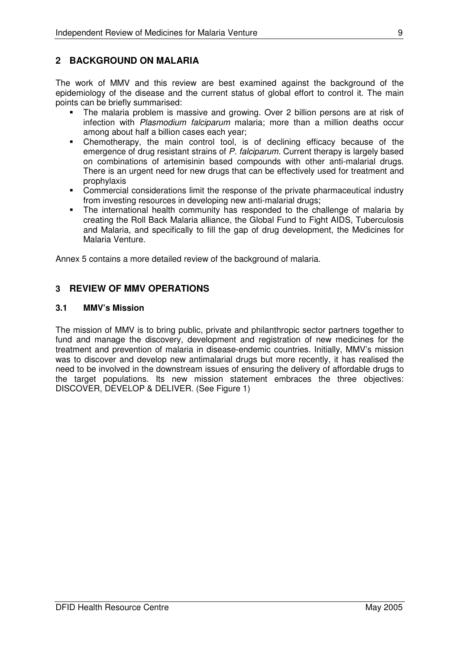## **2 BACKGROUND ON MALARIA**

The work of MMV and this review are best examined against the background of the epidemiology of the disease and the current status of global effort to control it. The main points can be briefly summarised:

- The malaria problem is massive and growing. Over 2 billion persons are at risk of infection with *Plasmodium falciparum* malaria; more than a million deaths occur among about half a billion cases each year;
- Chemotherapy, the main control tool, is of declining efficacy because of the emergence of drug resistant strains of *P. falciparum.* Current therapy is largely based on combinations of artemisinin based compounds with other anti-malarial drugs. There is an urgent need for new drugs that can be effectively used for treatment and prophylaxis
- Commercial considerations limit the response of the private pharmaceutical industry from investing resources in developing new anti-malarial drugs;
- The international health community has responded to the challenge of malaria by creating the Roll Back Malaria alliance, the Global Fund to Fight AIDS, Tuberculosis and Malaria, and specifically to fill the gap of drug development, the Medicines for Malaria Venture.

Annex 5 contains a more detailed review of the background of malaria.

## **3 REVIEW OF MMV OPERATIONS**

## **3.1 MMV's Mission**

The mission of MMV is to bring public, private and philanthropic sector partners together to fund and manage the discovery, development and registration of new medicines for the treatment and prevention of malaria in disease-endemic countries. Initially, MMV's mission was to discover and develop new antimalarial drugs but more recently, it has realised the need to be involved in the downstream issues of ensuring the delivery of affordable drugs to the target populations. Its new mission statement embraces the three objectives: DISCOVER, DEVELOP & DELIVER. (See Figure 1)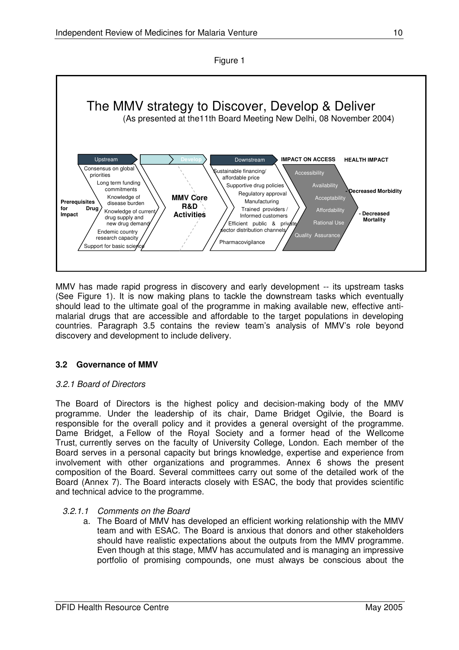



MMV has made rapid progress in discovery and early development -- its upstream tasks (See Figure 1). It is now making plans to tackle the downstream tasks which eventually should lead to the ultimate goal of the programme in making available new, effective antimalarial drugs that are accessible and affordable to the target populations in developing countries. Paragraph 3.5 contains the review team's analysis of MMV's role beyond discovery and development to include delivery.

## **3.2 Governance of MMV**

## *3.2.1 Board of Directors*

The Board of Directors is the highest policy and decision-making body of the MMV programme. Under the leadership of its chair, Dame Bridget Ogilvie, the Board is responsible for the overall policy and it provides a general oversight of the programme. Dame Bridget, a Fellow of the Royal Society and a former head of the Wellcome Trust, currently serves on the faculty of University College, London. Each member of the Board serves in a personal capacity but brings knowledge, expertise and experience from involvement with other organizations and programmes. Annex 6 shows the present composition of the Board. Several committees carry out some of the detailed work of the Board (Annex 7). The Board interacts closely with ESAC, the body that provides scientific and technical advice to the programme.

## *3.2.1.1 Comments on the Board*

a. The Board of MMV has developed an efficient working relationship with the MMV team and with ESAC. The Board is anxious that donors and other stakeholders should have realistic expectations about the outputs from the MMV programme. Even though at this stage, MMV has accumulated and is managing an impressive portfolio of promising compounds, one must always be conscious about the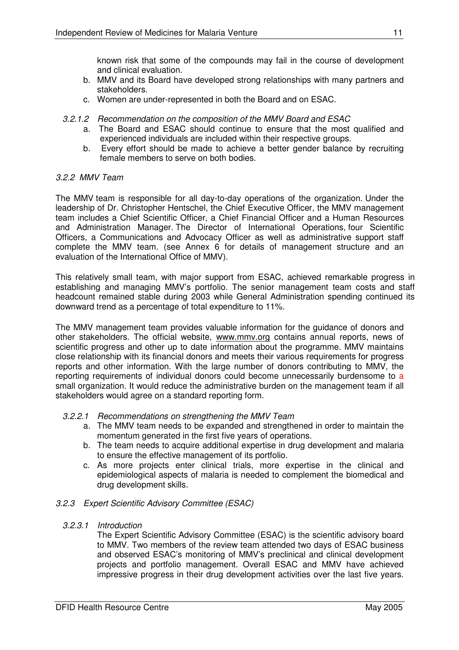known risk that some of the compounds may fail in the course of development and clinical evaluation.

- b. MMV and its Board have developed strong relationships with many partners and stakeholders.
- c. Women are under-represented in both the Board and on ESAC.
- *3.2.1.2 Recommendation on the composition of the MMV Board and ESAC*
	- a. The Board and ESAC should continue to ensure that the most qualified and experienced individuals are included within their respective groups.
	- b. Every effort should be made to achieve a better gender balance by recruiting female members to serve on both bodies.

## *3.2.2 MMV Team*

The MMV team is responsible for all day-to-day operations of the organization. Under the leadership of Dr. Christopher Hentschel, the Chief Executive Officer, the MMV management team includes a Chief Scientific Officer, a Chief Financial Officer and a Human Resources and Administration Manager. The Director of International Operations, four Scientific Officers, a Communications and Advocacy Officer as well as administrative support staff complete the MMV team. (see Annex 6 for details of management structure and an evaluation of the International Office of MMV).

This relatively small team, with major support from ESAC, achieved remarkable progress in establishing and managing MMV's portfolio. The senior management team costs and staff headcount remained stable during 2003 while General Administration spending continued its downward trend as a percentage of total expenditure to 11%.

The MMV management team provides valuable information for the guidance of donors and other stakeholders. The official website, www.mmv.org contains annual reports, news of scientific progress and other up to date information about the programme. MMV maintains close relationship with its financial donors and meets their various requirements for progress reports and other information. With the large number of donors contributing to MMV, the reporting requirements of individual donors could become unnecessarily burdensome to a small organization. It would reduce the administrative burden on the management team if all stakeholders would agree on a standard reporting form.

## *3.2.2.1 Recommendations on strengthening the MMV Team*

- a. The MMV team needs to be expanded and strengthened in order to maintain the momentum generated in the first five years of operations.
- b. The team needs to acquire additional expertise in drug development and malaria to ensure the effective management of its portfolio.
- c. As more projects enter clinical trials, more expertise in the clinical and epidemiological aspects of malaria is needed to complement the biomedical and drug development skills.

## *3.2.3 Expert Scientific Advisory Committee (ESAC)*

*3.2.3.1 Introduction*

The Expert Scientific Advisory Committee (ESAC) is the scientific advisory board to MMV. Two members of the review team attended two days of ESAC business and observed ESAC's monitoring of MMV's preclinical and clinical development projects and portfolio management. Overall ESAC and MMV have achieved impressive progress in their drug development activities over the last five years.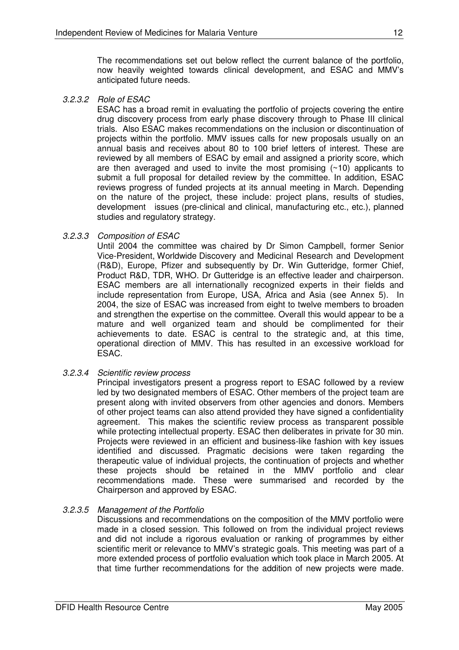The recommendations set out below reflect the current balance of the portfolio, now heavily weighted towards clinical development, and ESAC and MMV's anticipated future needs.

*3.2.3.2 Role of ESAC*

ESAC has a broad remit in evaluating the portfolio of projects covering the entire drug discovery process from early phase discovery through to Phase III clinical trials. Also ESAC makes recommendations on the inclusion or discontinuation of projects within the portfolio. MMV issues calls for new proposals usually on an annual basis and receives about 80 to 100 brief letters of interest. These are reviewed by all members of ESAC by email and assigned a priority score, which are then averaged and used to invite the most promising  $($  $\sim$ 10) applicants to submit a full proposal for detailed review by the committee. In addition, ESAC reviews progress of funded projects at its annual meeting in March. Depending on the nature of the project, these include: project plans, results of studies, development issues (pre-clinical and clinical, manufacturing etc., etc.), planned studies and regulatory strategy.

## *3.2.3.3 Composition of ESAC*

Until 2004 the committee was chaired by Dr Simon Campbell, former Senior Vice-President, Worldwide Discovery and Medicinal Research and Development (R&D), Europe, Pfizer and subsequently by Dr. Win Gutteridge, former Chief, Product R&D, TDR, WHO. Dr Gutteridge is an effective leader and chairperson. ESAC members are all internationally recognized experts in their fields and include representation from Europe, USA, Africa and Asia (see Annex 5). In 2004, the size of ESAC was increased from eight to twelve members to broaden and strengthen the expertise on the committee. Overall this would appear to be a mature and well organized team and should be complimented for their achievements to date. ESAC is central to the strategic and, at this time, operational direction of MMV. This has resulted in an excessive workload for ESAC.

*3.2.3.4 Scientific review process*

Principal investigators present a progress report to ESAC followed by a review led by two designated members of ESAC. Other members of the project team are present along with invited observers from other agencies and donors. Members of other project teams can also attend provided they have signed a confidentiality agreement. This makes the scientific review process as transparent possible while protecting intellectual property. ESAC then deliberates in private for 30 min. Projects were reviewed in an efficient and business-like fashion with key issues identified and discussed. Pragmatic decisions were taken regarding the therapeutic value of individual projects, the continuation of projects and whether these projects should be retained in the MMV portfolio and clear recommendations made. These were summarised and recorded by the Chairperson and approved by ESAC.

## *3.2.3.5 Management of the Portfolio*

Discussions and recommendations on the composition of the MMV portfolio were made in a closed session. This followed on from the individual project reviews and did not include a rigorous evaluation or ranking of programmes by either scientific merit or relevance to MMV's strategic goals. This meeting was part of a more extended process of portfolio evaluation which took place in March 2005. At that time further recommendations for the addition of new projects were made.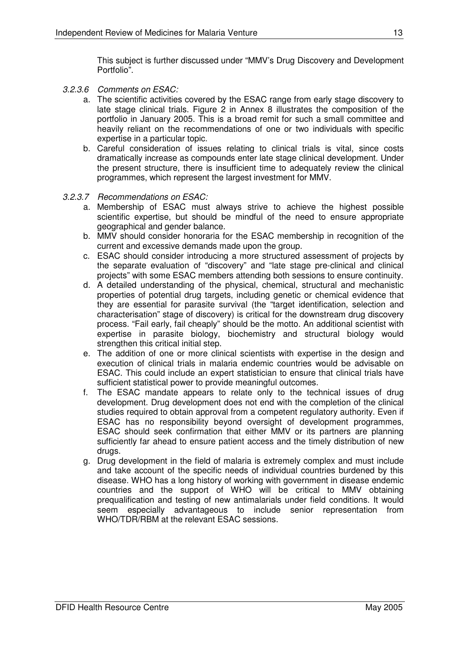This subject is further discussed under "MMV's Drug Discovery and Development Portfolio".

- *3.2.3.6 Comments on ESAC:*
	- a. The scientific activities covered by the ESAC range from early stage discovery to late stage clinical trials. Figure 2 in Annex 8 illustrates the composition of the portfolio in January 2005. This is a broad remit for such a small committee and heavily reliant on the recommendations of one or two individuals with specific expertise in a particular topic.
	- b. Careful consideration of issues relating to clinical trials is vital, since costs dramatically increase as compounds enter late stage clinical development. Under the present structure, there is insufficient time to adequately review the clinical programmes, which represent the largest investment for MMV.
- *3.2.3.7 Recommendations on ESAC:*
	- a. Membership of ESAC must always strive to achieve the highest possible scientific expertise, but should be mindful of the need to ensure appropriate geographical and gender balance.
	- b. MMV should consider honoraria for the ESAC membership in recognition of the current and excessive demands made upon the group.
	- c. ESAC should consider introducing a more structured assessment of projects by the separate evaluation of "discovery" and "late stage pre-clinical and clinical projects" with some ESAC members attending both sessions to ensure continuity.
	- d. A detailed understanding of the physical, chemical, structural and mechanistic properties of potential drug targets, including genetic or chemical evidence that they are essential for parasite survival (the "target identification, selection and characterisation" stage of discovery) is critical for the downstream drug discovery process. "Fail early, fail cheaply" should be the motto. An additional scientist with expertise in parasite biology, biochemistry and structural biology would strengthen this critical initial step.
	- e. The addition of one or more clinical scientists with expertise in the design and execution of clinical trials in malaria endemic countries would be advisable on ESAC. This could include an expert statistician to ensure that clinical trials have sufficient statistical power to provide meaningful outcomes.
	- f. The ESAC mandate appears to relate only to the technical issues of drug development. Drug development does not end with the completion of the clinical studies required to obtain approval from a competent regulatory authority. Even if ESAC has no responsibility beyond oversight of development programmes, ESAC should seek confirmation that either MMV or its partners are planning sufficiently far ahead to ensure patient access and the timely distribution of new drugs.
	- g. Drug development in the field of malaria is extremely complex and must include and take account of the specific needs of individual countries burdened by this disease. WHO has a long history of working with government in disease endemic countries and the support of WHO will be critical to MMV obtaining prequalification and testing of new antimalarials under field conditions. It would seem especially advantageous to include senior representation from WHO/TDR/RBM at the relevant ESAC sessions.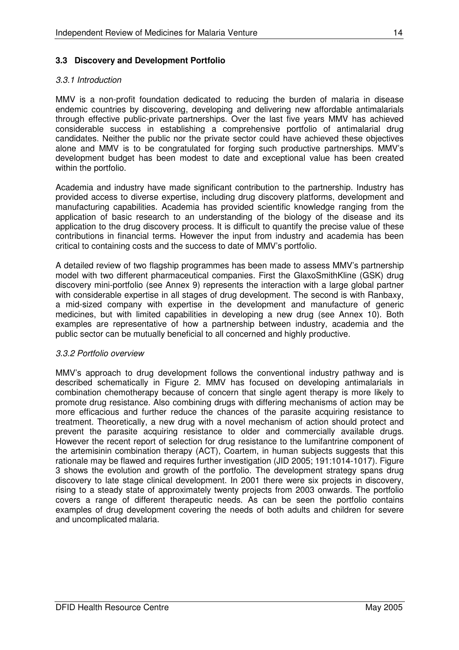## **3.3 Discovery and Development Portfolio**

### *3.3.1 Introduction*

MMV is a non-profit foundation dedicated to reducing the burden of malaria in disease endemic countries by discovering, developing and delivering new affordable antimalarials through effective public-private partnerships. Over the last five years MMV has achieved considerable success in establishing a comprehensive portfolio of antimalarial drug candidates. Neither the public nor the private sector could have achieved these objectives alone and MMV is to be congratulated for forging such productive partnerships. MMV's development budget has been modest to date and exceptional value has been created within the portfolio.

Academia and industry have made significant contribution to the partnership. Industry has provided access to diverse expertise, including drug discovery platforms, development and manufacturing capabilities. Academia has provided scientific knowledge ranging from the application of basic research to an understanding of the biology of the disease and its application to the drug discovery process. It is difficult to quantify the precise value of these contributions in financial terms. However the input from industry and academia has been critical to containing costs and the success to date of MMV's portfolio.

A detailed review of two flagship programmes has been made to assess MMV's partnership model with two different pharmaceutical companies. First the GlaxoSmithKline (GSK) drug discovery mini-portfolio (see Annex 9) represents the interaction with a large global partner with considerable expertise in all stages of drug development. The second is with Ranbaxy, a mid-sized company with expertise in the development and manufacture of generic medicines, but with limited capabilities in developing a new drug (see Annex 10). Both examples are representative of how a partnership between industry, academia and the public sector can be mutually beneficial to all concerned and highly productive.

## *3.3.2 Portfolio overview*

MMV's approach to drug development follows the conventional industry pathway and is described schematically in Figure 2. MMV has focused on developing antimalarials in combination chemotherapy because of concern that single agent therapy is more likely to promote drug resistance. Also combining drugs with differing mechanisms of action may be more efficacious and further reduce the chances of the parasite acquiring resistance to treatment. Theoretically, a new drug with a novel mechanism of action should protect and prevent the parasite acquiring resistance to older and commercially available drugs. However the recent report of selection for drug resistance to the lumifantrine component of the artemisinin combination therapy (ACT), Coartem, in human subjects suggests that this rationale may be flawed and requires further investigation (JID 2005: 191:1014-1017). Figure 3 shows the evolution and growth of the portfolio. The development strategy spans drug discovery to late stage clinical development. In 2001 there were six projects in discovery, rising to a steady state of approximately twenty projects from 2003 onwards. The portfolio covers a range of different therapeutic needs. As can be seen the portfolio contains examples of drug development covering the needs of both adults and children for severe and uncomplicated malaria.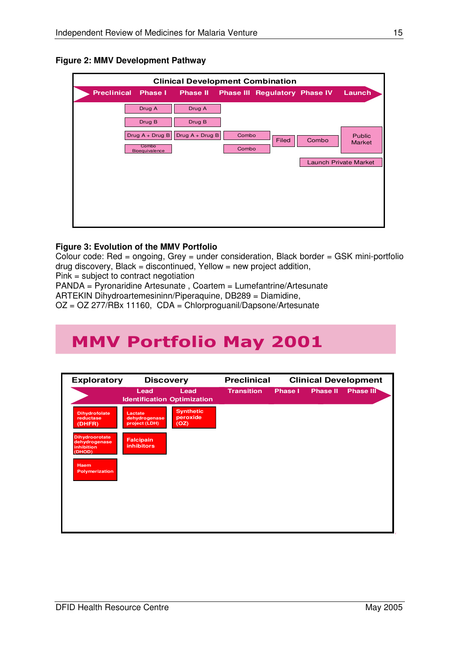

| <b>Clinical Development Combination</b> |                            |                   |       |                                      |       |                                |  |  |
|-----------------------------------------|----------------------------|-------------------|-------|--------------------------------------|-------|--------------------------------|--|--|
| <b>Preclinical</b>                      | <b>Phase I</b>             | <b>Phase II</b>   |       | <b>Phase III Regulatory Phase IV</b> |       | Launch                         |  |  |
|                                         | Drug A                     | Drug A            |       |                                      |       |                                |  |  |
|                                         | Drug B                     | Drug B            |       |                                      |       |                                |  |  |
|                                         | Drug $A + Drug B$<br>Combo | Drug $A + Drug B$ | Combo | Filed                                | Combo | <b>Public</b><br><b>Market</b> |  |  |
|                                         | Bioequivalence             |                   | Combo |                                      |       |                                |  |  |
|                                         |                            |                   |       |                                      |       | <b>Launch Private Market</b>   |  |  |
|                                         |                            |                   |       |                                      |       |                                |  |  |
|                                         |                            |                   |       |                                      |       |                                |  |  |
|                                         |                            |                   |       |                                      |       |                                |  |  |
|                                         |                            |                   |       |                                      |       |                                |  |  |
|                                         |                            |                   |       |                                      |       |                                |  |  |

## **Figure 3: Evolution of the MMV Portfolio**

Colour code: Red = ongoing, Grey = under consideration, Black border = GSK mini-portfolio  $drud$  discovery, Black = discontinued, Yellow = new project addition,

Pink = subject to contract negotiation

PANDA = Pyronaridine Artesunate , Coartem = Lumefantrine/Artesunate

ARTEKIN Dihydroartemesininn/Piperaquine, DB289 = Diamidine,

OZ = OZ 277/RBx 11160, CDA = Chlorproguanil/Dapsone/Artesunate

# **MMV Portfolio May 2001**

| <b>Exploratory</b>                                             | <b>Discovery</b>                           |                                      | <b>Preclinical</b> |                |                 | <b>Clinical Development</b> |
|----------------------------------------------------------------|--------------------------------------------|--------------------------------------|--------------------|----------------|-----------------|-----------------------------|
|                                                                | Lead<br><b>Identification Optimization</b> | Lead                                 | <b>Transition</b>  | <b>Phase I</b> | <b>Phase II</b> | <b>Phase III</b>            |
| <b>Dihydrofolate</b><br>reductase<br>(DHFR)                    | Lactate<br>dehydrogenase<br>project (LDH)  | <b>Synthetic</b><br>peroxide<br>(OZ) |                    |                |                 |                             |
| <b>Dihydroorotate</b><br>dehydrogenase<br>inhibition<br>(DHOD) | <b>Falcipain</b><br><b>inhibitors</b>      |                                      |                    |                |                 |                             |
| <b>Haem</b><br><b>Polymerization</b>                           |                                            |                                      |                    |                |                 |                             |
|                                                                |                                            |                                      |                    |                |                 |                             |
|                                                                |                                            |                                      |                    |                |                 |                             |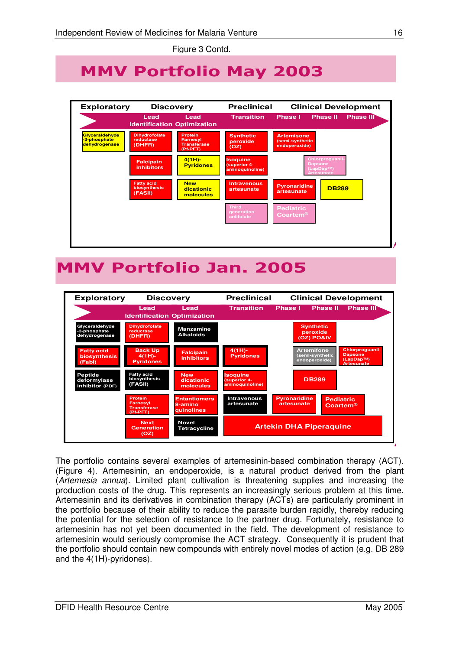Figure 3 Contd.

# **MMV Portfolio May 2003**



# MMV Portfolio Jan. 2005



The portfolio contains several examples of artemesinin-based combination therapy (ACT). (Figure 4). Artemesinin, an endoperoxide, is a natural product derived from the plant (*Artemesia annua*). Limited plant cultivation is threatening supplies and increasing the production costs of the drug. This represents an increasingly serious problem at this time. Artemesinin and its derivatives in combination therapy (ACTs) are particularly prominent in the portfolio because of their ability to reduce the parasite burden rapidly, thereby reducing the potential for the selection of resistance to the partner drug. Fortunately, resistance to artemesinin has not yet been documented in the field. The development of resistance to artemesinin would seriously compromise the ACT strategy. Consequently it is prudent that the portfolio should contain new compounds with entirely novel modes of action (e.g. DB 289 and the 4(1H)-pyridones).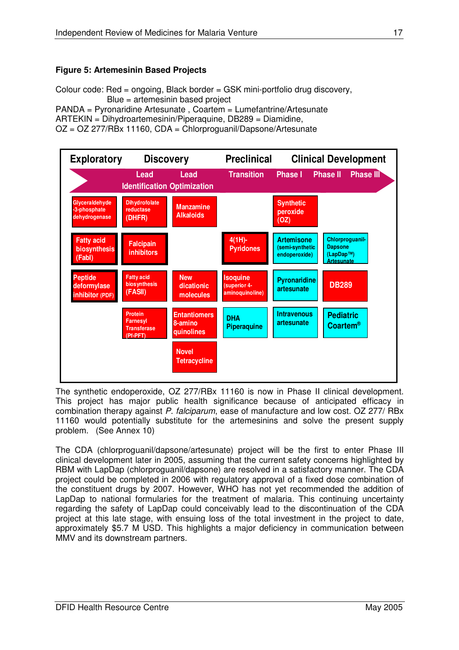## **Figure 5: Artemesinin Based Projects**

Colour code: Red = ongoing, Black border = GSK mini-portfolio drug discovery, Blue = artemesinin based project

PANDA = Pyronaridine Artesunate , Coartem = Lumefantrine/Artesunate ARTEKIN = Dihydroartemesinin/Piperaquine, DB289 = Diamidine, OZ = OZ 277/RBx 11160, CDA = Chlorproguanil/Dapsone/Artesunate



The synthetic endoperoxide, OZ 277/RBx 11160 is now in Phase II clinical development. This project has major public health significance because of anticipated efficacy in combination therapy against *P. falciparum*, ease of manufacture and low cost. OZ 277/ RBx 11160 would potentially substitute for the artemesinins and solve the present supply problem. (See Annex 10)

The CDA (chlorproguanil/dapsone/artesunate) project will be the first to enter Phase III clinical development later in 2005, assuming that the current safety concerns highlighted by RBM with LapDap (chlorproguanil/dapsone) are resolved in a satisfactory manner. The CDA project could be completed in 2006 with regulatory approval of a fixed dose combination of the constituent drugs by 2007. However, WHO has not yet recommended the addition of LapDap to national formularies for the treatment of malaria. This continuing uncertainty regarding the safety of LapDap could conceivably lead to the discontinuation of the CDA project at this late stage, with ensuing loss of the total investment in the project to date, approximately \$5.7 M USD. This highlights a major deficiency in communication between MMV and its downstream partners.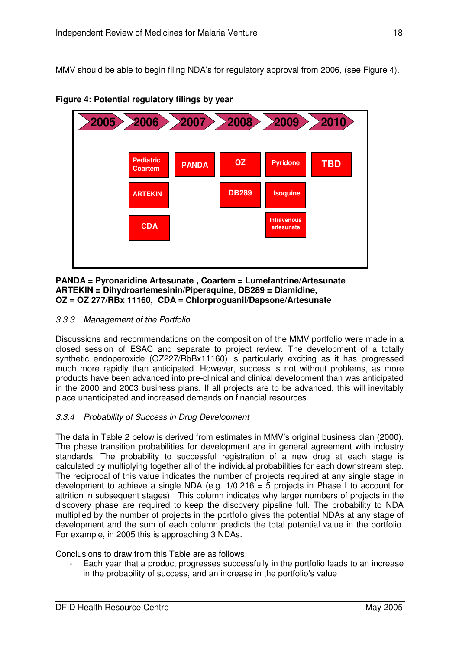MMV should be able to begin filing NDA's for regulatory approval from 2006, (see Figure 4).



**Figure 4: Potential regulatory filings by year**

#### **PANDA = Pyronaridine Artesunate , Coartem = Lumefantrine/Artesunate ARTEKIN = Dihydroartemesinin/Piperaquine, DB289 = Diamidine, OZ = OZ 277/RBx 11160, CDA = Chlorproguanil/Dapsone/Artesunate**

## *3.3.3 Management of the Portfolio*

Discussions and recommendations on the composition of the MMV portfolio were made in a closed session of ESAC and separate to project review. The development of a totally synthetic endoperoxide (OZ227/RbBx11160) is particularly exciting as it has progressed much more rapidly than anticipated. However, success is not without problems, as more products have been advanced into pre-clinical and clinical development than was anticipated in the 2000 and 2003 business plans. If all projects are to be advanced, this will inevitably place unanticipated and increased demands on financial resources.

## *3.3.4 Probability of Success in Drug Development*

The data in Table 2 below is derived from estimates in MMV's original business plan (2000). The phase transition probabilities for development are in general agreement with industry standards. The probability to successful registration of a new drug at each stage is calculated by multiplying together all of the individual probabilities for each downstream step. The reciprocal of this value indicates the number of projects required at any single stage in development to achieve a single NDA (e.g.  $1/0.216 = 5$  projects in Phase I to account for attrition in subsequent stages). This column indicates why larger numbers of projects in the discovery phase are required to keep the discovery pipeline full. The probability to NDA multiplied by the number of projects in the portfolio gives the potential NDAs at any stage of development and the sum of each column predicts the total potential value in the portfolio. For example, in 2005 this is approaching 3 NDAs.

Conclusions to draw from this Table are as follows:

Each year that a product progresses successfully in the portfolio leads to an increase in the probability of success, and an increase in the portfolio's value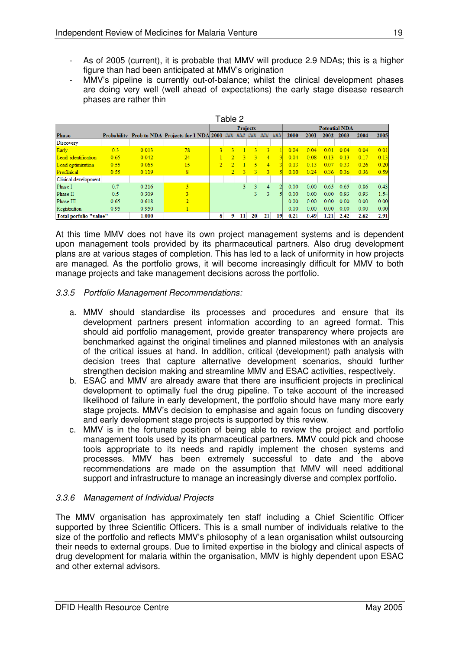- As of 2005 (current), it is probable that MMV will produce 2.9 NDAs; this is a higher figure than had been anticipated at MMV's origination
- MMV's pipeline is currently out-of-balance; whilst the clinical development phases are doing very well (well ahead of expectations) the early stage disease research phases are rather thin

|                                 |      |       |                                                     |   | Table 2        |     |                 |                |        |      |      |                      |      |      |      |
|---------------------------------|------|-------|-----------------------------------------------------|---|----------------|-----|-----------------|----------------|--------|------|------|----------------------|------|------|------|
|                                 |      |       |                                                     |   |                |     | <b>Projects</b> |                |        |      |      | <b>Potential NDA</b> |      |      |      |
| <b>Phase</b>                    |      |       | Probability Prob to NDA Projects for 1 NDA 2000 ### |   |                | ### | ###             | ###            | ###    | 2000 | 2001 | 2002                 | 2003 | 2004 | 2005 |
| Discovery                       |      |       |                                                     |   |                |     |                 |                |        |      |      |                      |      |      |      |
| Early                           | 0.3  | 0.013 | 78                                                  | ٩ | R              |     | ٩               | 3              |        | 0.04 | 0.04 | 0.01                 | 0.04 | 0.04 | 0.01 |
| Lead identification             | 0.65 | 0.042 | 24                                                  |   |                | 3   | -3              | $\overline{4}$ |        | 0.04 | 0.08 | 0.13                 | 0.13 | 0.17 | 0.13 |
| Lead optimization               | 0.55 | 0.065 | 15                                                  |   |                |     | R               | $\overline{4}$ |        | 0.13 | 0.13 | 007                  | 0.33 | 0.26 | 0.20 |
| Preclinical                     | 0.55 | 0.119 | 8                                                   |   | $\overline{2}$ | 3.  | $\mathbf{R}$    | -3.            | $\sim$ | 0.00 | 0.24 | 0.36                 | 0.36 | 0.36 | 0.59 |
| Clinical development            |      |       |                                                     |   |                |     |                 |                |        |      |      |                      |      |      |      |
| Phase I                         | 0.7  | 0.216 | 5                                                   |   |                | 3.  | 3               | 4              |        | 0.00 | 0.00 | 0.65                 | 0.65 | 0.86 | 0.43 |
| Phase II                        | 0.5  | 0.309 |                                                     |   |                |     | 3               | 3              |        | 0.00 | 0.00 | 0.00                 | 0.93 | 0.93 | 1.54 |
| Phase III                       | 0.65 | 0.618 | $\overline{2}$                                      |   |                |     |                 |                |        | 0.00 | 0.00 | 0.00                 | 0.00 | 0.00 | 0.00 |
| Registration                    | 0.95 | 0.950 |                                                     |   |                |     |                 |                |        | 0.00 | 0.00 | 0.00                 | 0.00 | 0.00 | 0.00 |
| Total porfolio "value"<br>1.000 |      |       |                                                     |   | 9<br>6         | 11  | 20              | 21             | 19     | 0.21 | 0.49 | 1.21                 | 2.42 | 2.62 | 2.91 |

At this time MMV does not have its own project management systems and is dependent upon management tools provided by its pharmaceutical partners. Also drug development plans are at various stages of completion. This has led to a lack of uniformity in how projects are managed. As the portfolio grows, it will become increasingly difficult for MMV to both manage projects and take management decisions across the portfolio.

## *3.3.5 Portfolio Management Recommendations:*

- a. MMV should standardise its processes and procedures and ensure that its development partners present information according to an agreed format. This should aid portfolio management, provide greater transparency where projects are benchmarked against the original timelines and planned milestones with an analysis of the critical issues at hand. In addition, critical (development) path analysis with decision trees that capture alternative development scenarios, should further strengthen decision making and streamline MMV and ESAC activities, respectively.
- b. ESAC and MMV are already aware that there are insufficient projects in preclinical development to optimally fuel the drug pipeline. To take account of the increased likelihood of failure in early development, the portfolio should have many more early stage projects. MMV's decision to emphasise and again focus on funding discovery and early development stage projects is supported by this review.
- c. MMV is in the fortunate position of being able to review the project and portfolio management tools used by its pharmaceutical partners. MMV could pick and choose tools appropriate to its needs and rapidly implement the chosen systems and processes. MMV has been extremely successful to date and the above recommendations are made on the assumption that MMV will need additional support and infrastructure to manage an increasingly diverse and complex portfolio.

## *3.3.6 Management of Individual Projects*

The MMV organisation has approximately ten staff including a Chief Scientific Officer supported by three Scientific Officers. This is a small number of individuals relative to the size of the portfolio and reflects MMV's philosophy of a lean organisation whilst outsourcing their needs to external groups. Due to limited expertise in the biology and clinical aspects of drug development for malaria within the organisation, MMV is highly dependent upon ESAC and other external advisors.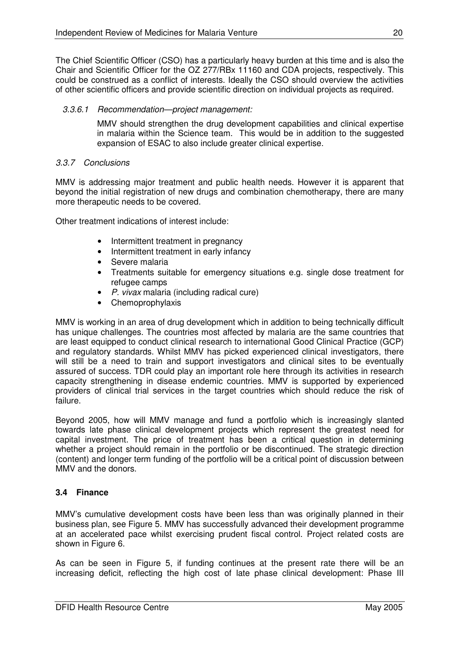The Chief Scientific Officer (CSO) has a particularly heavy burden at this time and is also the Chair and Scientific Officer for the OZ 277/RBx 11160 and CDA projects, respectively. This could be construed as a conflict of interests. Ideally the CSO should overview the activities of other scientific officers and provide scientific direction on individual projects as required.

## *3.3.6.1 Recommendation—project management:*

MMV should strengthen the drug development capabilities and clinical expertise in malaria within the Science team. This would be in addition to the suggested expansion of ESAC to also include greater clinical expertise.

## *3.3.7 Conclusions*

MMV is addressing major treatment and public health needs. However it is apparent that beyond the initial registration of new drugs and combination chemotherapy, there are many more therapeutic needs to be covered.

Other treatment indications of interest include:

- Intermittent treatment in pregnancy
- Intermittent treatment in early infancy
- Severe malaria
- Treatments suitable for emergency situations e.g. single dose treatment for refugee camps
- *P. vivax* malaria (including radical cure)
- Chemoprophylaxis

MMV is working in an area of drug development which in addition to being technically difficult has unique challenges. The countries most affected by malaria are the same countries that are least equipped to conduct clinical research to international Good Clinical Practice (GCP) and regulatory standards. Whilst MMV has picked experienced clinical investigators, there will still be a need to train and support investigators and clinical sites to be eventually assured of success. TDR could play an important role here through its activities in research capacity strengthening in disease endemic countries. MMV is supported by experienced providers of clinical trial services in the target countries which should reduce the risk of failure.

Beyond 2005, how will MMV manage and fund a portfolio which is increasingly slanted towards late phase clinical development projects which represent the greatest need for capital investment. The price of treatment has been a critical question in determining whether a project should remain in the portfolio or be discontinued. The strategic direction (content) and longer term funding of the portfolio will be a critical point of discussion between MMV and the donors.

## **3.4 Finance**

MMV's cumulative development costs have been less than was originally planned in their business plan, see Figure 5. MMV has successfully advanced their development programme at an accelerated pace whilst exercising prudent fiscal control. Project related costs are shown in Figure 6.

As can be seen in Figure 5, if funding continues at the present rate there will be an increasing deficit, reflecting the high cost of late phase clinical development: Phase III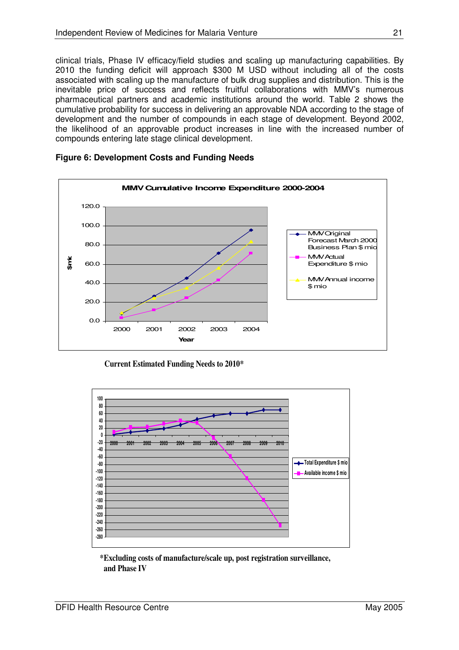clinical trials, Phase IV efficacy/field studies and scaling up manufacturing capabilities. By 2010 the funding deficit will approach \$300 M USD without including all of the costs associated with scaling up the manufacture of bulk drug supplies and distribution. This is the inevitable price of success and reflects fruitful collaborations with MMV's numerous pharmaceutical partners and academic institutions around the world. Table 2 shows the cumulative probability for success in delivering an approvable NDA according to the stage of development and the number of compounds in each stage of development. Beyond 2002, the likelihood of an approvable product increases in line with the increased number of compounds entering late stage clinical development.



**Figure 6: Development Costs and Funding Needs**





**\*Excluding costs of manufacture/scale up, post registration surveillance, and Phase IV**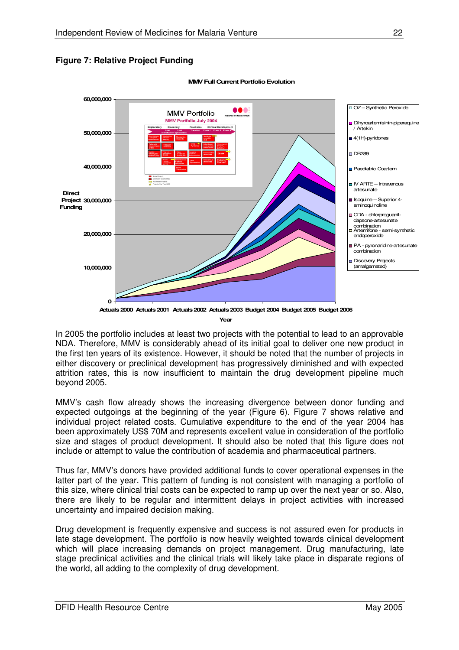**Figure 7: Relative Project Funding**



**MMV Full Current Portfolio Evolution** 

In 2005 the portfolio includes at least two projects with the potential to lead to an approvable NDA. Therefore, MMV is considerably ahead of its initial goal to deliver one new product in the first ten years of its existence. However, it should be noted that the number of projects in either discovery or preclinical development has progressively diminished and with expected attrition rates, this is now insufficient to maintain the drug development pipeline much beyond 2005.

MMV's cash flow already shows the increasing divergence between donor funding and expected outgoings at the beginning of the year (Figure 6). Figure 7 shows relative and individual project related costs. Cumulative expenditure to the end of the year 2004 has been approximately US\$ 70M and represents excellent value in consideration of the portfolio size and stages of product development. It should also be noted that this figure does not include or attempt to value the contribution of academia and pharmaceutical partners.

Thus far, MMV's donors have provided additional funds to cover operational expenses in the latter part of the year. This pattern of funding is not consistent with managing a portfolio of this size, where clinical trial costs can be expected to ramp up over the next year or so. Also, there are likely to be regular and intermittent delays in project activities with increased uncertainty and impaired decision making.

Drug development is frequently expensive and success is not assured even for products in late stage development. The portfolio is now heavily weighted towards clinical development which will place increasing demands on project management. Drug manufacturing, late stage preclinical activities and the clinical trials will likely take place in disparate regions of the world, all adding to the complexity of drug development.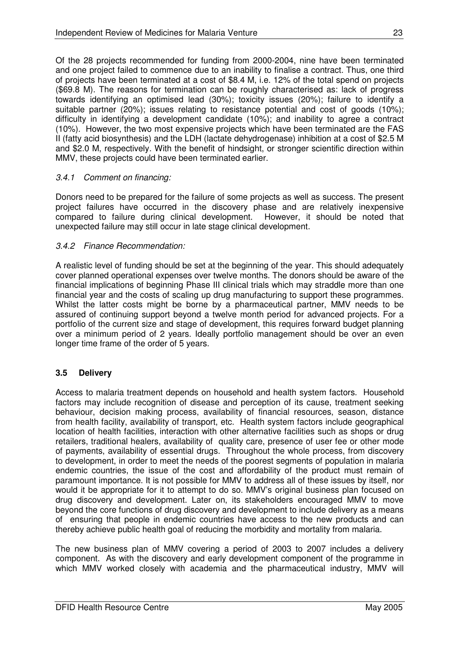Of the 28 projects recommended for funding from 2000-2004, nine have been terminated and one project failed to commence due to an inability to finalise a contract. Thus, one third of projects have been terminated at a cost of \$8.4 M, i.e. 12% of the total spend on projects (\$69.8 M). The reasons for termination can be roughly characterised as: lack of progress towards identifying an optimised lead (30%); toxicity issues (20%); failure to identify a suitable partner (20%); issues relating to resistance potential and cost of goods (10%); difficulty in identifying a development candidate (10%); and inability to agree a contract (10%). However, the two most expensive projects which have been terminated are the FAS II (fatty acid biosynthesis) and the LDH (lactate dehydrogenase) inhibition at a cost of \$2.5 M and \$2.0 M, respectively. With the benefit of hindsight, or stronger scientific direction within MMV, these projects could have been terminated earlier.

## *3.4.1 Comment on financing:*

Donors need to be prepared for the failure of some projects as well as success. The present project failures have occurred in the discovery phase and are relatively inexpensive compared to failure during clinical development. However, it should be noted that unexpected failure may still occur in late stage clinical development.

## *3.4.2 Finance Recommendation:*

A realistic level of funding should be set at the beginning of the year. This should adequately cover planned operational expenses over twelve months. The donors should be aware of the financial implications of beginning Phase III clinical trials which may straddle more than one financial year and the costs of scaling up drug manufacturing to support these programmes. Whilst the latter costs might be borne by a pharmaceutical partner, MMV needs to be assured of continuing support beyond a twelve month period for advanced projects. For a portfolio of the current size and stage of development, this requires forward budget planning over a minimum period of 2 years. Ideally portfolio management should be over an even longer time frame of the order of 5 years.

## **3.5 Delivery**

Access to malaria treatment depends on household and health system factors. Household factors may include recognition of disease and perception of its cause, treatment seeking behaviour, decision making process, availability of financial resources, season, distance from health facility, availability of transport, etc. Health system factors include geographical location of health facilities, interaction with other alternative facilities such as shops or drug retailers, traditional healers, availability of quality care, presence of user fee or other mode of payments, availability of essential drugs. Throughout the whole process, from discovery to development, in order to meet the needs of the poorest segments of population in malaria endemic countries, the issue of the cost and affordability of the product must remain of paramount importance. It is not possible for MMV to address all of these issues by itself, nor would it be appropriate for it to attempt to do so. MMV's original business plan focused on drug discovery and development. Later on, its stakeholders encouraged MMV to move beyond the core functions of drug discovery and development to include delivery as a means of ensuring that people in endemic countries have access to the new products and can thereby achieve public health goal of reducing the morbidity and mortality from malaria.

The new business plan of MMV covering a period of 2003 to 2007 includes a delivery component. As with the discovery and early development component of the programme in which MMV worked closely with academia and the pharmaceutical industry, MMV will

DFID Health Resource Centre May 2005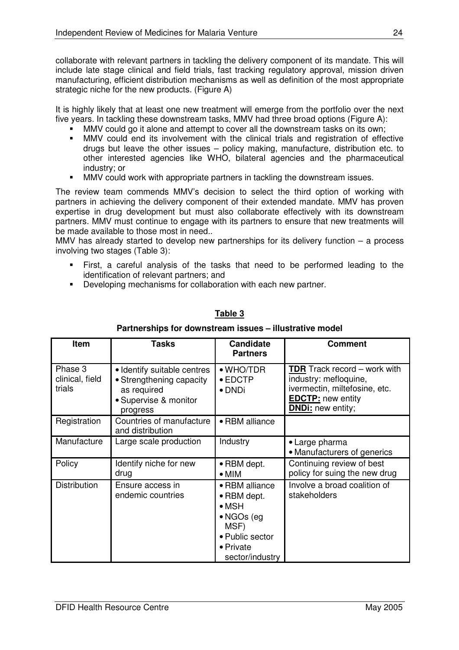collaborate with relevant partners in tackling the delivery component of its mandate. This will include late stage clinical and field trials, fast tracking regulatory approval, mission driven manufacturing, efficient distribution mechanisms as well as definition of the most appropriate strategic niche for the new products. (Figure A)

It is highly likely that at least one new treatment will emerge from the portfolio over the next five years. In tackling these downstream tasks, MMV had three broad options (Figure A):

- MMV could go it alone and attempt to cover all the downstream tasks on its own;
- MMV could end its involvement with the clinical trials and registration of effective drugs but leave the other issues – policy making, manufacture, distribution etc. to other interested agencies like WHO, bilateral agencies and the pharmaceutical industry; or
- **MMV** could work with appropriate partners in tackling the downstream issues.

The review team commends MMV's decision to select the third option of working with partners in achieving the delivery component of their extended mandate. MMV has proven expertise in drug development but must also collaborate effectively with its downstream partners. MMV must continue to engage with its partners to ensure that new treatments will be made available to those most in need..

MMV has already started to develop new partnerships for its delivery function – a process involving two stages (Table 3):

- First, a careful analysis of the tasks that need to be performed leading to the identification of relevant partners; and
- **Developing mechanisms for collaboration with each new partner.**

| Item                                 | <b>Tasks</b>                                                                                                | <b>Candidate</b><br><b>Partners</b>                                                                                             | Comment                                                                                                                                               |
|--------------------------------------|-------------------------------------------------------------------------------------------------------------|---------------------------------------------------------------------------------------------------------------------------------|-------------------------------------------------------------------------------------------------------------------------------------------------------|
| Phase 3<br>clinical, field<br>trials | • Identify suitable centres<br>• Strengthening capacity<br>as required<br>• Supervise & monitor<br>progress | $\bullet$ WHO/TDR<br>$\bullet$ EDCTP<br>• DNDi                                                                                  | <b>TDR</b> Track record – work with<br>industry: mefloquine,<br>ivermectin, miltefosine, etc.<br><b>EDCTP:</b> new entity<br><b>DNDi:</b> new entity; |
| Registration                         | Countries of manufacture<br>and distribution                                                                | • RBM alliance                                                                                                                  |                                                                                                                                                       |
| Manufacture                          | Large scale production                                                                                      | Industry                                                                                                                        | • Large pharma<br>• Manufacturers of generics                                                                                                         |
| Policy                               | Identify niche for new<br>drug                                                                              | • RBM dept.<br>$\bullet$ MIM                                                                                                    | Continuing review of best<br>policy for suing the new drug                                                                                            |
| Distribution                         | Ensure access in<br>endemic countries                                                                       | • RBM alliance<br>• RBM dept.<br>$\bullet$ MSH<br>$\bullet$ NGOs (eg<br>MSF)<br>• Public sector<br>• Private<br>sector/industry | Involve a broad coalition of<br>stakeholders                                                                                                          |

# **Table 3 Partnerships for downstream issues – illustrative model**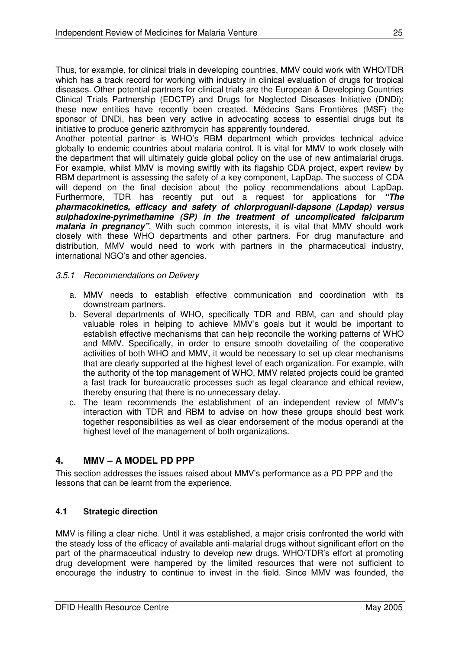Thus, for example, for clinical trials in developing countries, MMV could work with WHO/TDR which has a track record for working with industry in clinical evaluation of drugs for tropical diseases. Other potential partners for clinical trials are the European & Developing Countries Clinical Trials Partnership (EDCTP) and Drugs for Neglected Diseases Initiative (DNDi); these new entities have recently been created. Médecins Sans Frontières (MSF) the sponsor of DNDi, has been very active in advocating access to essential drugs but its initiative to produce generic azithromycin has apparently foundered.

Another potential partner is WHO's RBM department which provides technical advice globally to endemic countries about malaria control. It is vital for MMV to work closely with the department that will ultimately guide global policy on the use of new antimalarial drugs. For example, whilst MMV is moving swiftly with its flagship CDA project, expert review by RBM department is assessing the safety of a key component, LapDap. The success of CDA will depend on the final decision about the policy recommendations about LapDap. Furthermore, TDR has recently put out a request for applications for *"The pharmacokinetics, efficacy and safety of chlorproguanil-dapsone (Lapdap) versus sulphadoxine-pyrimethamine (SP) in the treatment of uncomplicated falciparum malaria in pregnancy*". With such common interests, it is vital that MMV should work closely with these WHO departments and other partners. For drug manufacture and distribution, MMV would need to work with partners in the pharmaceutical industry, international NGO's and other agencies.

## *3.5.1 Recommendations on Delivery*

- a. MMV needs to establish effective communication and coordination with its downstream partners.
- b. Several departments of WHO, specifically TDR and RBM, can and should play valuable roles in helping to achieve MMV's goals but it would be important to establish effective mechanisms that can help reconcile the working patterns of WHO and MMV. Specifically, in order to ensure smooth dovetailing of the cooperative activities of both WHO and MMV, it would be necessary to set up clear mechanisms that are clearly supported at the highest level of each organization. For example, with the authority of the top management of WHO, MMV related projects could be granted a fast track for bureaucratic processes such as legal clearance and ethical review, thereby ensuring that there is no unnecessary delay.
- c. The team recommends the establishment of an independent review of MMV's interaction with TDR and RBM to advise on how these groups should best work together responsibilities as well as clear endorsement of the modus operandi at the highest level of the management of both organizations.

# **4. MMV – A MODEL PD PPP**

This section addresses the issues raised about MMV's performance as a PD PPP and the lessons that can be learnt from the experience.

## **4.1 Strategic direction**

MMV is filling a clear niche. Until it was established, a major crisis confronted the world with the steady loss of the efficacy of available anti-malarial drugs without significant effort on the part of the pharmaceutical industry to develop new drugs. WHO/TDR's effort at promoting drug development were hampered by the limited resources that were not sufficient to encourage the industry to continue to invest in the field. Since MMV was founded, the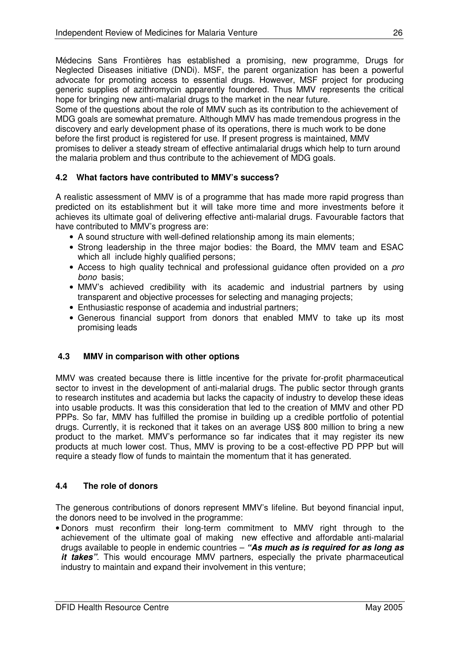Médecins Sans Frontières has established a promising, new programme, Drugs for Neglected Diseases initiative (DNDi). MSF, the parent organization has been a powerful advocate for promoting access to essential drugs. However, MSF project for producing generic supplies of azithromycin apparently foundered. Thus MMV represents the critical hope for bringing new anti-malarial drugs to the market in the near future.

Some of the questions about the role of MMV such as its contribution to the achievement of MDG goals are somewhat premature. Although MMV has made tremendous progress in the discovery and early development phase of its operations, there is much work to be done before the first product is registered for use. If present progress is maintained, MMV promises to deliver a steady stream of effective antimalarial drugs which help to turn around the malaria problem and thus contribute to the achievement of MDG goals.

## **4.2 What factors have contributed to MMV's success?**

A realistic assessment of MMV is of a programme that has made more rapid progress than predicted on its establishment but it will take more time and more investments before it achieves its ultimate goal of delivering effective anti-malarial drugs. Favourable factors that have contributed to MMV's progress are:

- A sound structure with well-defined relationship among its main elements;
- Strong leadership in the three major bodies: the Board, the MMV team and ESAC which all include highly qualified persons;
- Access to high quality technical and professional guidance often provided on a *pro bono* basis;
- MMV's achieved credibility with its academic and industrial partners by using transparent and objective processes for selecting and managing projects;
- Enthusiastic response of academia and industrial partners;
- Generous financial support from donors that enabled MMV to take up its most promising leads

## **4.3 MMV in comparison with other options**

MMV was created because there is little incentive for the private for-profit pharmaceutical sector to invest in the development of anti-malarial drugs. The public sector through grants to research institutes and academia but lacks the capacity of industry to develop these ideas into usable products. It was this consideration that led to the creation of MMV and other PD PPPs. So far, MMV has fulfilled the promise in building up a credible portfolio of potential drugs. Currently, it is reckoned that it takes on an average US\$ 800 million to bring a new product to the market. MMV's performance so far indicates that it may register its new products at much lower cost. Thus, MMV is proving to be a cost-effective PD PPP but will require a steady flow of funds to maintain the momentum that it has generated.

## **4.4 The role of donors**

The generous contributions of donors represent MMV's lifeline. But beyond financial input, the donors need to be involved in the programme:

• Donors must reconfirm their long-term commitment to MMV right through to the achievement of the ultimate goal of making new effective and affordable anti-malarial drugs available to people in endemic countries – *"As much as is required for as long as it takes"*. This would encourage MMV partners, especially the private pharmaceutical industry to maintain and expand their involvement in this venture;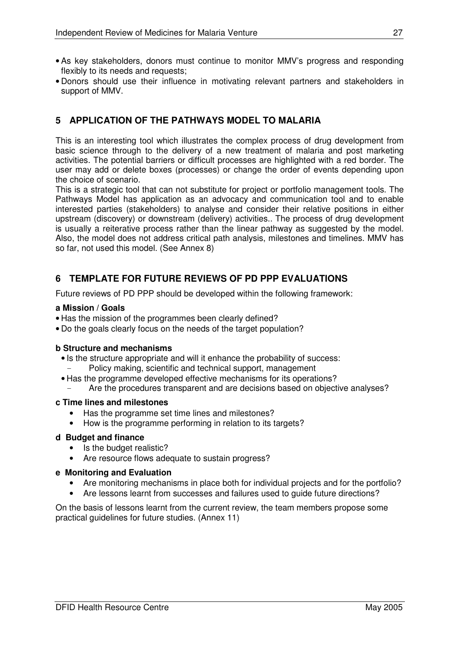- As key stakeholders, donors must continue to monitor MMV's progress and responding flexibly to its needs and requests;
- Donors should use their influence in motivating relevant partners and stakeholders in support of MMV.

# **5 APPLICATION OF THE PATHWAYS MODEL TO MALARIA**

This is an interesting tool which illustrates the complex process of drug development from basic science through to the delivery of a new treatment of malaria and post marketing activities. The potential barriers or difficult processes are highlighted with a red border. The user may add or delete boxes (processes) or change the order of events depending upon the choice of scenario.

This is a strategic tool that can not substitute for project or portfolio management tools. The Pathways Model has application as an advocacy and communication tool and to enable interested parties (stakeholders) to analyse and consider their relative positions in either upstream (discovery) or downstream (delivery) activities.. The process of drug development is usually a reiterative process rather than the linear pathway as suggested by the model. Also, the model does not address critical path analysis, milestones and timelines. MMV has so far, not used this model. (See Annex 8)

# **6 TEMPLATE FOR FUTURE REVIEWS OF PD PPP EVALUATIONS**

Future reviews of PD PPP should be developed within the following framework:

### **a Mission / Goals**

- Has the mission of the programmes been clearly defined?
- Do the goals clearly focus on the needs of the target population?

## **b Structure and mechanisms**

- Is the structure appropriate and will it enhance the probability of success:
	- Policy making, scientific and technical support, management
- Has the programme developed effective mechanisms for its operations?
	- Are the procedures transparent and are decisions based on objective analyses?

#### **c Time lines and milestones**

- Has the programme set time lines and milestones?
- How is the programme performing in relation to its targets?

### **d Budget and finance**

- Is the budget realistic?
- Are resource flows adequate to sustain progress?

#### **e Monitoring and Evaluation**

- Are monitoring mechanisms in place both for individual projects and for the portfolio?
- Are lessons learnt from successes and failures used to guide future directions?

On the basis of lessons learnt from the current review, the team members propose some practical guidelines for future studies. (Annex 11)